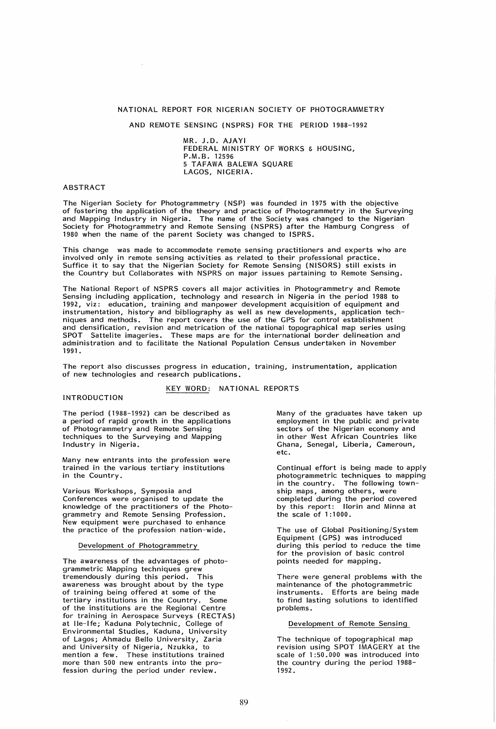# NATIONAL REPORT FOR NIGERIAN SOCIETY OF PHOTOGRAMMETRY

AND REMOTE SENSING (NSPRS) FOR THE PERIOD 1988-1992

MR. J.D. AJAYI FEDERAL MINISTRY OF WORKS & HOUSING, P.M.B. 12596 5 TAFAWA BALEWA SQUARE LAGOS, NIGERIA.

# ABSTRACT

The Nigerian Society for Photogrammetry (NSP) was founded in 1975 with the objective of fostering the application of the theory and practice of Photogrammetry in the Surveying and Mapping Industry in Nigeria. The name of the Society was changed to the Nigerian Society for Photogrammetry and Remote Sensing (NSPRS) after the Hamburg Congress of 1980 when the name of the parent Society was changed to ISPRS.

This change was made to accommodate remote sensing practitioners and experts who are involved only in remote sensing activities as related to their professional practice. Suffice it to say that the Nigerian Society for Remote Sensing (NISORS) still exists in the Country but Collaborates with NSPRS on major issues partaining to Remote Sensing.

The National Report of NSPRS covers all major activities in Photogrammetry and Remote Sensing including application, technology and research in Nigeria in the period 1988 to 1992, viz: education, training and manpower development acquisition of equipment and instrumentation, history and bibliography as well as new developments, application techniques and methods. The report covers the use of the GPS for control establishment and densification, revision and metrication of the national topographical map series using SPOT Sattelite imageries. These maps are for the international border delineation and administration and to facilitate the National Population Census undertaken in November 1991.

The report also discusses progress in education, training, instrumentation, application of new technologies and research publications.

KEY WORD: NATIONAL REPORTS

# INTRODUCTION

The period (1988-1992) can be described as a period of rapid growth in the applications of Photogrammetry and Remote Sensing techniques to the Surveying and Mapping Industry in Nigeria.

Many new entrants into the profession were trained in the various tertiary institutions in the Country.

Various Workshops, Symposia and Conferences were organised to update the knowledge of the practitioners of the Photogrammetry and Remote Sensing Profession. New equipment were purchased to enhance the practice of the profession nation-wide.

### Development of Photogrammetry

The awareness of the advantages of photogrammetric Mapping techniques grew tremendously during this period. This awareness was brought about by the type of training being offered at some of the tertiary institutions in the Country. Some of the institutions are the Regional Centre for training in Aerospace Surveys (RECTAS) at Ile-Ife; Kaduna Polytechnic, College of Environmental Studies, Kaduna, University of Lagos; Ahmadu Bello University, Zaria and University of Nigeria, Nzukka, to mention a few. These institutions trained more than 500 new entrants into the profession during the period under review.

Many of the graduates have taken up employment in the public and private sectors of the Nigerian economy and in other West African Countries like Ghana, Senegal, Liberia, Cameroun, etc.

Continual effort is being made to apply photogrammetric techniques to mapping in the country. The following township maps, among others, were completed during the period covered by this report: Ilorin and Minna at the scale of 1:1000.

The use of Global Positioning/System Equipment (GPS) was introduced during this period to reduce the time for the provision of basic control points needed for mapping.

There were general problems with the maintenance of the photogrammetric instruments. Efforts are being made to find lasting solutions to identified problems.

Development of Remote Sensing

The technique of topographical map revision using SPOT IMAGERY at the scale of 1 :50.000 was introduced into the country during the period 1988- 1992 .